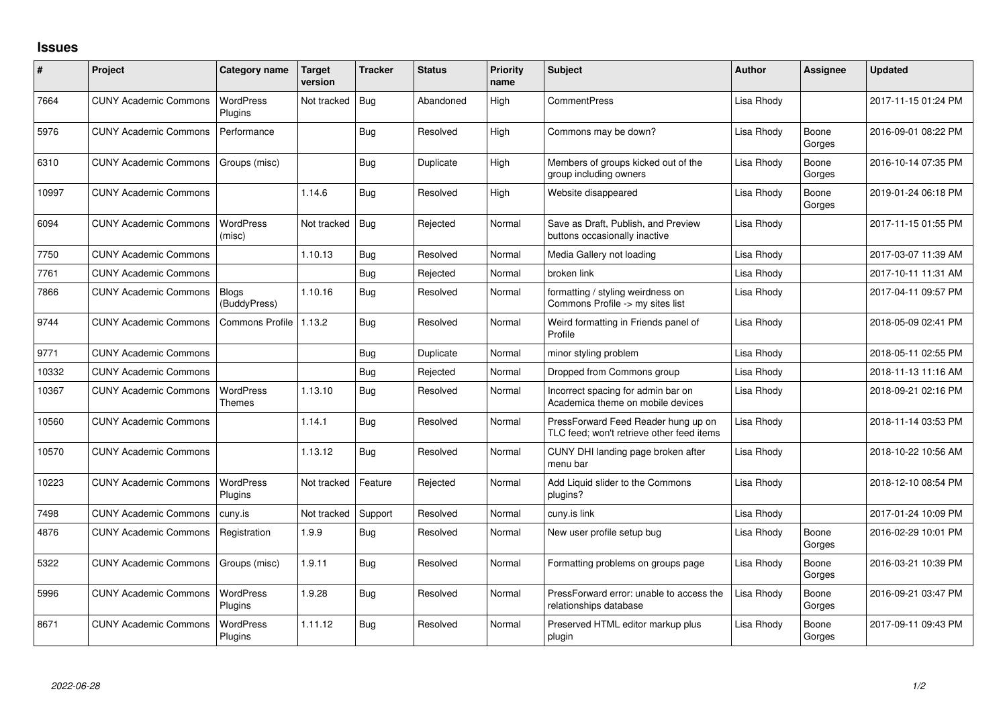## **Issues**

| ∦     | Project                      | Category name                     | <b>Target</b><br>version | <b>Tracker</b> | <b>Status</b> | <b>Priority</b><br>name | <b>Subject</b>                                                                   | <b>Author</b> | Assignee        | <b>Updated</b>      |
|-------|------------------------------|-----------------------------------|--------------------------|----------------|---------------|-------------------------|----------------------------------------------------------------------------------|---------------|-----------------|---------------------|
| 7664  | <b>CUNY Academic Commons</b> | WordPress<br>Plugins              | Not tracked              | Bug            | Abandoned     | High                    | <b>CommentPress</b>                                                              | Lisa Rhody    |                 | 2017-11-15 01:24 PM |
| 5976  | <b>CUNY Academic Commons</b> | Performance                       |                          | Bug            | Resolved      | High                    | Commons may be down?                                                             | Lisa Rhody    | Boone<br>Gorges | 2016-09-01 08:22 PM |
| 6310  | <b>CUNY Academic Commons</b> | Groups (misc)                     |                          | Bug            | Duplicate     | High                    | Members of groups kicked out of the<br>group including owners                    | Lisa Rhody    | Boone<br>Gorges | 2016-10-14 07:35 PM |
| 10997 | <b>CUNY Academic Commons</b> |                                   | 1.14.6                   | Bug            | Resolved      | High                    | Website disappeared                                                              | Lisa Rhody    | Boone<br>Gorges | 2019-01-24 06:18 PM |
| 6094  | <b>CUNY Academic Commons</b> | <b>WordPress</b><br>(misc)        | Not tracked              | Bug            | Rejected      | Normal                  | Save as Draft, Publish, and Preview<br>buttons occasionally inactive             | Lisa Rhody    |                 | 2017-11-15 01:55 PM |
| 7750  | <b>CUNY Academic Commons</b> |                                   | 1.10.13                  | Bug            | Resolved      | Normal                  | Media Gallery not loading                                                        | Lisa Rhody    |                 | 2017-03-07 11:39 AM |
| 7761  | <b>CUNY Academic Commons</b> |                                   |                          | Bug            | Rejected      | Normal                  | broken link                                                                      | Lisa Rhody    |                 | 2017-10-11 11:31 AM |
| 7866  | <b>CUNY Academic Commons</b> | <b>Blogs</b><br>(BuddyPress)      | 1.10.16                  | Bug            | Resolved      | Normal                  | formatting / styling weirdness on<br>Commons Profile -> my sites list            | Lisa Rhody    |                 | 2017-04-11 09:57 PM |
| 9744  | <b>CUNY Academic Commons</b> | Commons Profile                   | 1.13.2                   | Bug            | Resolved      | Normal                  | Weird formatting in Friends panel of<br>Profile                                  | Lisa Rhody    |                 | 2018-05-09 02:41 PM |
| 9771  | <b>CUNY Academic Commons</b> |                                   |                          | Bug            | Duplicate     | Normal                  | minor styling problem                                                            | Lisa Rhody    |                 | 2018-05-11 02:55 PM |
| 10332 | <b>CUNY Academic Commons</b> |                                   |                          | Bug            | Rejected      | Normal                  | Dropped from Commons group                                                       | Lisa Rhody    |                 | 2018-11-13 11:16 AM |
| 10367 | <b>CUNY Academic Commons</b> | <b>WordPress</b><br><b>Themes</b> | 1.13.10                  | Bug            | Resolved      | Normal                  | Incorrect spacing for admin bar on<br>Academica theme on mobile devices          | Lisa Rhody    |                 | 2018-09-21 02:16 PM |
| 10560 | <b>CUNY Academic Commons</b> |                                   | 1.14.1                   | Bug            | Resolved      | Normal                  | PressForward Feed Reader hung up on<br>TLC feed; won't retrieve other feed items | Lisa Rhody    |                 | 2018-11-14 03:53 PM |
| 10570 | <b>CUNY Academic Commons</b> |                                   | 1.13.12                  | Bug            | Resolved      | Normal                  | CUNY DHI landing page broken after<br>menu bar                                   | Lisa Rhody    |                 | 2018-10-22 10:56 AM |
| 10223 | <b>CUNY Academic Commons</b> | <b>WordPress</b><br>Plugins       | Not tracked              | Feature        | Rejected      | Normal                  | Add Liquid slider to the Commons<br>plugins?                                     | Lisa Rhody    |                 | 2018-12-10 08:54 PM |
| 7498  | <b>CUNY Academic Commons</b> | cuny.is                           | Not tracked              | Support        | Resolved      | Normal                  | cuny.is link                                                                     | Lisa Rhody    |                 | 2017-01-24 10:09 PM |
| 4876  | <b>CUNY Academic Commons</b> | Registration                      | 1.9.9                    | Bug            | Resolved      | Normal                  | New user profile setup bug                                                       | Lisa Rhody    | Boone<br>Gorges | 2016-02-29 10:01 PM |
| 5322  | <b>CUNY Academic Commons</b> | Groups (misc)                     | 1.9.11                   | <b>Bug</b>     | Resolved      | Normal                  | Formatting problems on groups page                                               | Lisa Rhody    | Boone<br>Gorges | 2016-03-21 10:39 PM |
| 5996  | <b>CUNY Academic Commons</b> | <b>WordPress</b><br>Plugins       | 1.9.28                   | Bug            | Resolved      | Normal                  | PressForward error: unable to access the<br>relationships database               | Lisa Rhody    | Boone<br>Gorges | 2016-09-21 03:47 PM |
| 8671  | <b>CUNY Academic Commons</b> | <b>WordPress</b><br>Plugins       | 1.11.12                  | Bug            | Resolved      | Normal                  | Preserved HTML editor markup plus<br>plugin                                      | Lisa Rhody    | Boone<br>Gorges | 2017-09-11 09:43 PM |